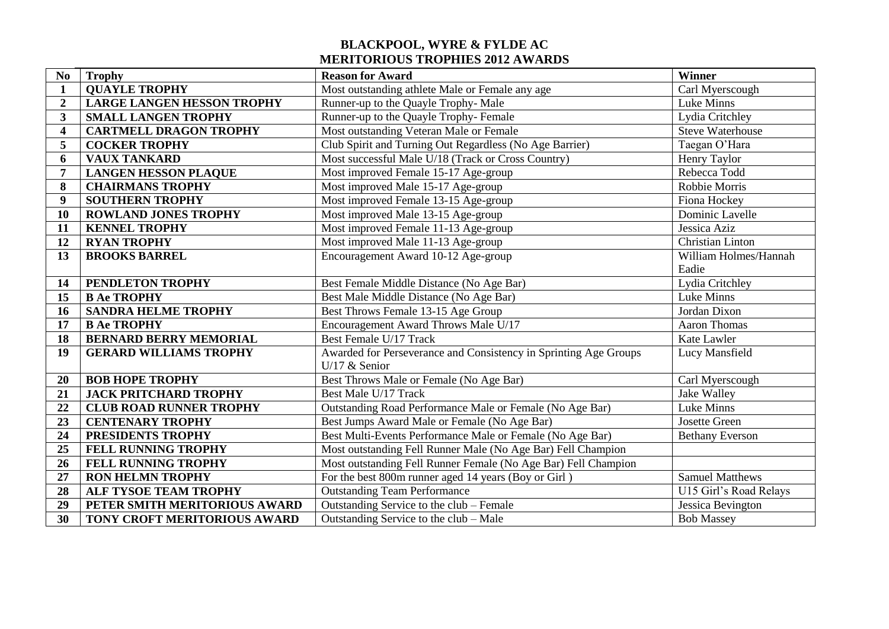## **BLACKPOOL, WYRE & FYLDE AC MERITORIOUS TROPHIES 2012 AWARDS**

| N <sub>0</sub>          | <b>Trophy</b>                     | <b>Reason for Award</b>                                          | Winner                  |
|-------------------------|-----------------------------------|------------------------------------------------------------------|-------------------------|
| $\mathbf{1}$            | <b>QUAYLE TROPHY</b>              | Most outstanding athlete Male or Female any age                  | Carl Myerscough         |
| $\overline{2}$          | <b>LARGE LANGEN HESSON TROPHY</b> | Runner-up to the Quayle Trophy-Male                              | Luke Minns              |
| 3                       | <b>SMALL LANGEN TROPHY</b>        | Runner-up to the Quayle Trophy- Female                           | Lydia Critchley         |
| $\overline{\mathbf{4}}$ | <b>CARTMELL DRAGON TROPHY</b>     | Most outstanding Veteran Male or Female                          | <b>Steve Waterhouse</b> |
| 5                       | <b>COCKER TROPHY</b>              | Club Spirit and Turning Out Regardless (No Age Barrier)          | Taegan O'Hara           |
| 6                       | <b>VAUX TANKARD</b>               | Most successful Male U/18 (Track or Cross Country)               | Henry Taylor            |
| 7                       | <b>LANGEN HESSON PLAQUE</b>       | Most improved Female 15-17 Age-group                             | Rebecca Todd            |
| 8                       | <b>CHAIRMANS TROPHY</b>           | Most improved Male 15-17 Age-group                               | Robbie Morris           |
| 9                       | <b>SOUTHERN TROPHY</b>            | Most improved Female 13-15 Age-group                             | Fiona Hockey            |
| 10                      | <b>ROWLAND JONES TROPHY</b>       | Most improved Male 13-15 Age-group                               | Dominic Lavelle         |
| 11                      | <b>KENNEL TROPHY</b>              | Most improved Female 11-13 Age-group                             | Jessica Aziz            |
| 12                      | <b>RYAN TROPHY</b>                | Most improved Male 11-13 Age-group                               | Christian Linton        |
| 13                      | <b>BROOKS BARREL</b>              | Encouragement Award 10-12 Age-group                              | William Holmes/Hannah   |
|                         |                                   |                                                                  | Eadie                   |
| 14                      | PENDLETON TROPHY                  | Best Female Middle Distance (No Age Bar)                         | Lydia Critchley         |
| 15                      | <b>B Ae TROPHY</b>                | Best Male Middle Distance (No Age Bar)                           | Luke Minns              |
| 16                      | <b>SANDRA HELME TROPHY</b>        | Best Throws Female 13-15 Age Group                               | Jordan Dixon            |
| 17                      | <b>B Ae TROPHY</b>                | Encouragement Award Throws Male U/17                             | <b>Aaron Thomas</b>     |
| 18                      | <b>BERNARD BERRY MEMORIAL</b>     | Best Female U/17 Track                                           | Kate Lawler             |
| 19                      | <b>GERARD WILLIAMS TROPHY</b>     | Awarded for Perseverance and Consistency in Sprinting Age Groups | Lucy Mansfield          |
|                         |                                   | U/17 $&$ Senior                                                  |                         |
| 20                      | <b>BOB HOPE TROPHY</b>            | Best Throws Male or Female (No Age Bar)                          | Carl Myerscough         |
| 21                      | <b>JACK PRITCHARD TROPHY</b>      | Best Male U/17 Track                                             | Jake Walley             |
| 22                      | <b>CLUB ROAD RUNNER TROPHY</b>    | Outstanding Road Performance Male or Female (No Age Bar)         | Luke Minns              |
| 23                      | <b>CENTENARY TROPHY</b>           | Best Jumps Award Male or Female (No Age Bar)                     | Josette Green           |
| 24                      | PRESIDENTS TROPHY                 | Best Multi-Events Performance Male or Female (No Age Bar)        | <b>Bethany Everson</b>  |
| 25                      | FELL RUNNING TROPHY               | Most outstanding Fell Runner Male (No Age Bar) Fell Champion     |                         |
| 26                      | FELL RUNNING TROPHY               | Most outstanding Fell Runner Female (No Age Bar) Fell Champion   |                         |
| 27                      | <b>RON HELMN TROPHY</b>           | For the best 800m runner aged 14 years (Boy or Girl)             | <b>Samuel Matthews</b>  |
| 28                      | ALF TYSOE TEAM TROPHY             | <b>Outstanding Team Performance</b>                              | U15 Girl's Road Relays  |
| 29                      | PETER SMITH MERITORIOUS AWARD     | Outstanding Service to the club – Female                         | Jessica Bevington       |
| 30                      | TONY CROFT MERITORIOUS AWARD      | Outstanding Service to the club - Male                           | <b>Bob Massey</b>       |